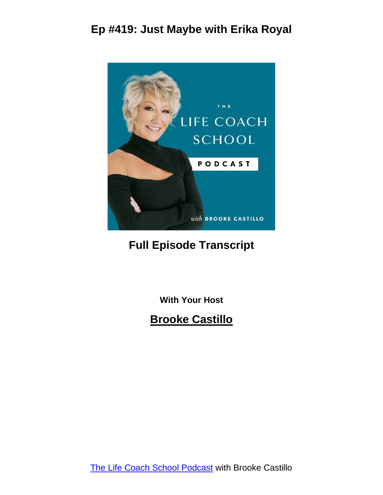

#### **Full Episode Transcript**

**With Your Host**

#### **Brooke Castillo**

The Life Coach School [Podcast](http://www.thelifecoachschool.com/) with Brooke Castillo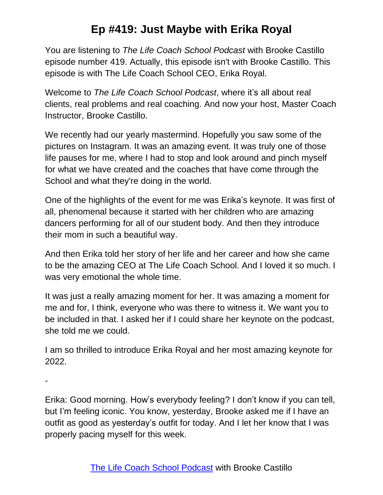You are listening to *The Life Coach School Podcast* with Brooke Castillo episode number 419. Actually, this episode isn't with Brooke Castillo. This episode is with The Life Coach School CEO, Erika Royal.

Welcome to *The Life Coach School Podcast*, where it's all about real clients, real problems and real coaching. And now your host, Master Coach Instructor, Brooke Castillo.

We recently had our yearly mastermind. Hopefully you saw some of the pictures on Instagram. It was an amazing event. It was truly one of those life pauses for me, where I had to stop and look around and pinch myself for what we have created and the coaches that have come through the School and what they're doing in the world.

One of the highlights of the event for me was Erika's keynote. It was first of all, phenomenal because it started with her children who are amazing dancers performing for all of our student body. And then they introduce their mom in such a beautiful way.

And then Erika told her story of her life and her career and how she came to be the amazing CEO at The Life Coach School. And I loved it so much. I was very emotional the whole time.

It was just a really amazing moment for her. It was amazing a moment for me and for, I think, everyone who was there to witness it. We want you to be included in that. I asked her if I could share her keynote on the podcast, she told me we could.

I am so thrilled to introduce Erika Royal and her most amazing keynote for 2022.

-

Erika: Good morning. How's everybody feeling? I don't know if you can tell, but I'm feeling iconic. You know, yesterday, Brooke asked me if I have an outfit as good as yesterday's outfit for today. And I let her know that I was properly pacing myself for this week.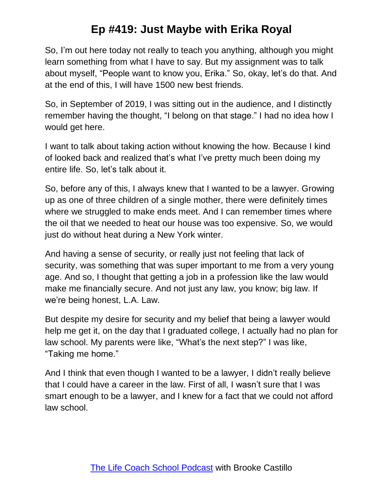So, I'm out here today not really to teach you anything, although you might learn something from what I have to say. But my assignment was to talk about myself, "People want to know you, Erika." So, okay, let's do that. And at the end of this, I will have 1500 new best friends.

So, in September of 2019, I was sitting out in the audience, and I distinctly remember having the thought, "I belong on that stage." I had no idea how I would get here.

I want to talk about taking action without knowing the how. Because I kind of looked back and realized that's what I've pretty much been doing my entire life. So, let's talk about it.

So, before any of this, I always knew that I wanted to be a lawyer. Growing up as one of three children of a single mother, there were definitely times where we struggled to make ends meet. And I can remember times where the oil that we needed to heat our house was too expensive. So, we would just do without heat during a New York winter.

And having a sense of security, or really just not feeling that lack of security, was something that was super important to me from a very young age. And so, I thought that getting a job in a profession like the law would make me financially secure. And not just any law, you know; big law. If we're being honest, L.A. Law.

But despite my desire for security and my belief that being a lawyer would help me get it, on the day that I graduated college, I actually had no plan for law school. My parents were like, "What's the next step?" I was like, "Taking me home."

And I think that even though I wanted to be a lawyer, I didn't really believe that I could have a career in the law. First of all, I wasn't sure that I was smart enough to be a lawyer, and I knew for a fact that we could not afford law school.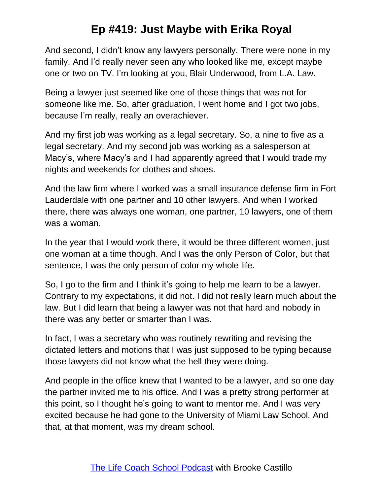And second, I didn't know any lawyers personally. There were none in my family. And I'd really never seen any who looked like me, except maybe one or two on TV. I'm looking at you, Blair Underwood, from L.A. Law.

Being a lawyer just seemed like one of those things that was not for someone like me. So, after graduation, I went home and I got two jobs, because I'm really, really an overachiever.

And my first job was working as a legal secretary. So, a nine to five as a legal secretary. And my second job was working as a salesperson at Macy's, where Macy's and I had apparently agreed that I would trade my nights and weekends for clothes and shoes.

And the law firm where I worked was a small insurance defense firm in Fort Lauderdale with one partner and 10 other lawyers. And when I worked there, there was always one woman, one partner, 10 lawyers, one of them was a woman.

In the year that I would work there, it would be three different women, just one woman at a time though. And I was the only Person of Color, but that sentence, I was the only person of color my whole life.

So, I go to the firm and I think it's going to help me learn to be a lawyer. Contrary to my expectations, it did not. I did not really learn much about the law. But I did learn that being a lawyer was not that hard and nobody in there was any better or smarter than I was.

In fact, I was a secretary who was routinely rewriting and revising the dictated letters and motions that I was just supposed to be typing because those lawyers did not know what the hell they were doing.

And people in the office knew that I wanted to be a lawyer, and so one day the partner invited me to his office. And I was a pretty strong performer at this point, so I thought he's going to want to mentor me. And I was very excited because he had gone to the University of Miami Law School. And that, at that moment, was my dream school.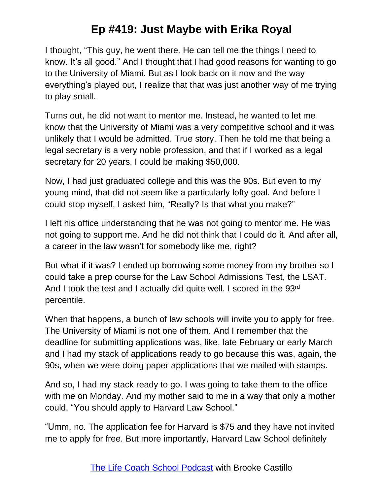I thought, "This guy, he went there. He can tell me the things I need to know. It's all good." And I thought that I had good reasons for wanting to go to the University of Miami. But as I look back on it now and the way everything's played out, I realize that that was just another way of me trying to play small.

Turns out, he did not want to mentor me. Instead, he wanted to let me know that the University of Miami was a very competitive school and it was unlikely that I would be admitted. True story. Then he told me that being a legal secretary is a very noble profession, and that if I worked as a legal secretary for 20 years, I could be making \$50,000.

Now, I had just graduated college and this was the 90s. But even to my young mind, that did not seem like a particularly lofty goal. And before I could stop myself, I asked him, "Really? Is that what you make?"

I left his office understanding that he was not going to mentor me. He was not going to support me. And he did not think that I could do it. And after all, a career in the law wasn't for somebody like me, right?

But what if it was? I ended up borrowing some money from my brother so I could take a prep course for the Law School Admissions Test, the LSAT. And I took the test and I actually did quite well. I scored in the 93rd percentile.

When that happens, a bunch of law schools will invite you to apply for free. The University of Miami is not one of them. And I remember that the deadline for submitting applications was, like, late February or early March and I had my stack of applications ready to go because this was, again, the 90s, when we were doing paper applications that we mailed with stamps.

And so, I had my stack ready to go. I was going to take them to the office with me on Monday. And my mother said to me in a way that only a mother could, "You should apply to Harvard Law School."

"Umm, no. The application fee for Harvard is \$75 and they have not invited me to apply for free. But more importantly, Harvard Law School definitely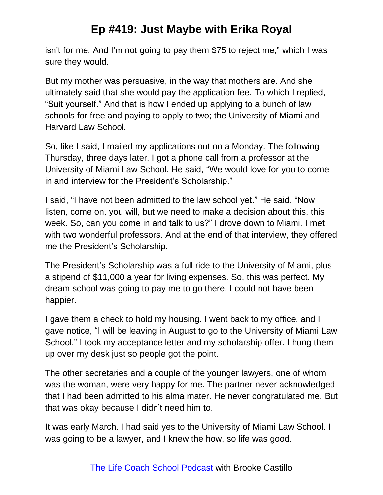isn't for me. And I'm not going to pay them \$75 to reject me," which I was sure they would.

But my mother was persuasive, in the way that mothers are. And she ultimately said that she would pay the application fee. To which I replied, "Suit yourself." And that is how I ended up applying to a bunch of law schools for free and paying to apply to two; the University of Miami and Harvard Law School.

So, like I said, I mailed my applications out on a Monday. The following Thursday, three days later, I got a phone call from a professor at the University of Miami Law School. He said, "We would love for you to come in and interview for the President's Scholarship."

I said, "I have not been admitted to the law school yet." He said, "Now listen, come on, you will, but we need to make a decision about this, this week. So, can you come in and talk to us?" I drove down to Miami. I met with two wonderful professors. And at the end of that interview, they offered me the President's Scholarship.

The President's Scholarship was a full ride to the University of Miami, plus a stipend of \$11,000 a year for living expenses. So, this was perfect. My dream school was going to pay me to go there. I could not have been happier.

I gave them a check to hold my housing. I went back to my office, and I gave notice, "I will be leaving in August to go to the University of Miami Law School." I took my acceptance letter and my scholarship offer. I hung them up over my desk just so people got the point.

The other secretaries and a couple of the younger lawyers, one of whom was the woman, were very happy for me. The partner never acknowledged that I had been admitted to his alma mater. He never congratulated me. But that was okay because I didn't need him to.

It was early March. I had said yes to the University of Miami Law School. I was going to be a lawyer, and I knew the how, so life was good.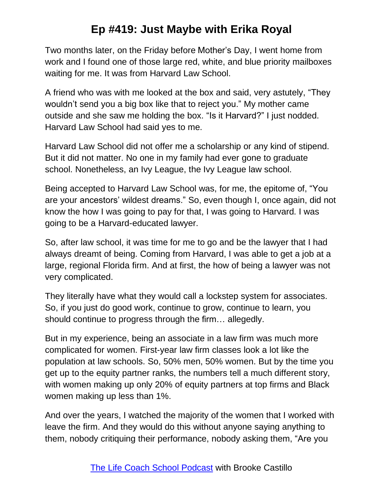Two months later, on the Friday before Mother's Day, I went home from work and I found one of those large red, white, and blue priority mailboxes waiting for me. It was from Harvard Law School.

A friend who was with me looked at the box and said, very astutely, "They wouldn't send you a big box like that to reject you." My mother came outside and she saw me holding the box. "Is it Harvard?" I just nodded. Harvard Law School had said yes to me.

Harvard Law School did not offer me a scholarship or any kind of stipend. But it did not matter. No one in my family had ever gone to graduate school. Nonetheless, an Ivy League, the Ivy League law school.

Being accepted to Harvard Law School was, for me, the epitome of, "You are your ancestors' wildest dreams." So, even though I, once again, did not know the how I was going to pay for that, I was going to Harvard. I was going to be a Harvard-educated lawyer.

So, after law school, it was time for me to go and be the lawyer that I had always dreamt of being. Coming from Harvard, I was able to get a job at a large, regional Florida firm. And at first, the how of being a lawyer was not very complicated.

They literally have what they would call a lockstep system for associates. So, if you just do good work, continue to grow, continue to learn, you should continue to progress through the firm… allegedly.

But in my experience, being an associate in a law firm was much more complicated for women. First-year law firm classes look a lot like the population at law schools. So, 50% men, 50% women. But by the time you get up to the equity partner ranks, the numbers tell a much different story, with women making up only 20% of equity partners at top firms and Black women making up less than 1%.

And over the years, I watched the majority of the women that I worked with leave the firm. And they would do this without anyone saying anything to them, nobody critiquing their performance, nobody asking them, "Are you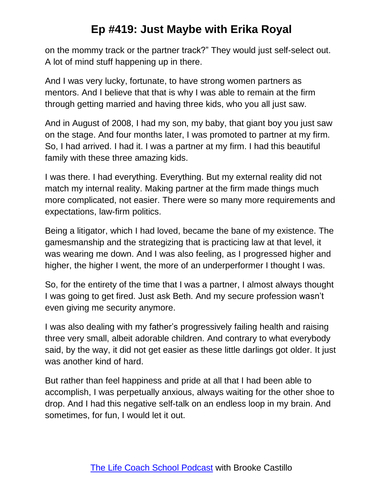on the mommy track or the partner track?" They would just self-select out. A lot of mind stuff happening up in there.

And I was very lucky, fortunate, to have strong women partners as mentors. And I believe that that is why I was able to remain at the firm through getting married and having three kids, who you all just saw.

And in August of 2008, I had my son, my baby, that giant boy you just saw on the stage. And four months later, I was promoted to partner at my firm. So, I had arrived. I had it. I was a partner at my firm. I had this beautiful family with these three amazing kids.

I was there. I had everything. Everything. But my external reality did not match my internal reality. Making partner at the firm made things much more complicated, not easier. There were so many more requirements and expectations, law-firm politics.

Being a litigator, which I had loved, became the bane of my existence. The gamesmanship and the strategizing that is practicing law at that level, it was wearing me down. And I was also feeling, as I progressed higher and higher, the higher I went, the more of an underperformer I thought I was.

So, for the entirety of the time that I was a partner, I almost always thought I was going to get fired. Just ask Beth. And my secure profession wasn't even giving me security anymore.

I was also dealing with my father's progressively failing health and raising three very small, albeit adorable children. And contrary to what everybody said, by the way, it did not get easier as these little darlings got older. It just was another kind of hard.

But rather than feel happiness and pride at all that I had been able to accomplish, I was perpetually anxious, always waiting for the other shoe to drop. And I had this negative self-talk on an endless loop in my brain. And sometimes, for fun, I would let it out.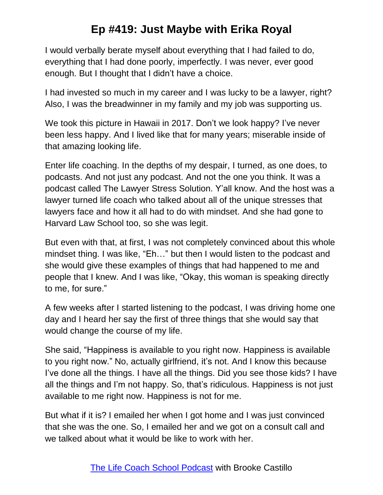I would verbally berate myself about everything that I had failed to do, everything that I had done poorly, imperfectly. I was never, ever good enough. But I thought that I didn't have a choice.

I had invested so much in my career and I was lucky to be a lawyer, right? Also, I was the breadwinner in my family and my job was supporting us.

We took this picture in Hawaii in 2017. Don't we look happy? I've never been less happy. And I lived like that for many years; miserable inside of that amazing looking life.

Enter life coaching. In the depths of my despair, I turned, as one does, to podcasts. And not just any podcast. And not the one you think. It was a podcast called The Lawyer Stress Solution. Y'all know. And the host was a lawyer turned life coach who talked about all of the unique stresses that lawyers face and how it all had to do with mindset. And she had gone to Harvard Law School too, so she was legit.

But even with that, at first, I was not completely convinced about this whole mindset thing. I was like, "Eh…" but then I would listen to the podcast and she would give these examples of things that had happened to me and people that I knew. And I was like, "Okay, this woman is speaking directly to me, for sure."

A few weeks after I started listening to the podcast, I was driving home one day and I heard her say the first of three things that she would say that would change the course of my life.

She said, "Happiness is available to you right now. Happiness is available to you right now." No, actually girlfriend, it's not. And I know this because I've done all the things. I have all the things. Did you see those kids? I have all the things and I'm not happy. So, that's ridiculous. Happiness is not just available to me right now. Happiness is not for me.

But what if it is? I emailed her when I got home and I was just convinced that she was the one. So, I emailed her and we got on a consult call and we talked about what it would be like to work with her.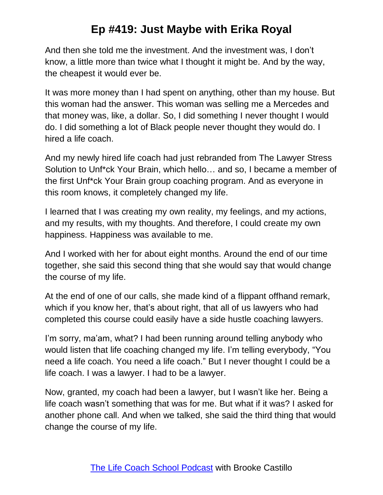And then she told me the investment. And the investment was, I don't know, a little more than twice what I thought it might be. And by the way, the cheapest it would ever be.

It was more money than I had spent on anything, other than my house. But this woman had the answer. This woman was selling me a Mercedes and that money was, like, a dollar. So, I did something I never thought I would do. I did something a lot of Black people never thought they would do. I hired a life coach.

And my newly hired life coach had just rebranded from The Lawyer Stress Solution to Unf\*ck Your Brain, which hello… and so, I became a member of the first Unf\*ck Your Brain group coaching program. And as everyone in this room knows, it completely changed my life.

I learned that I was creating my own reality, my feelings, and my actions, and my results, with my thoughts. And therefore, I could create my own happiness. Happiness was available to me.

And I worked with her for about eight months. Around the end of our time together, she said this second thing that she would say that would change the course of my life.

At the end of one of our calls, she made kind of a flippant offhand remark, which if you know her, that's about right, that all of us lawyers who had completed this course could easily have a side hustle coaching lawyers.

I'm sorry, ma'am, what? I had been running around telling anybody who would listen that life coaching changed my life. I'm telling everybody, "You need a life coach. You need a life coach." But I never thought I could be a life coach. I was a lawyer. I had to be a lawyer.

Now, granted, my coach had been a lawyer, but I wasn't like her. Being a life coach wasn't something that was for me. But what if it was? I asked for another phone call. And when we talked, she said the third thing that would change the course of my life.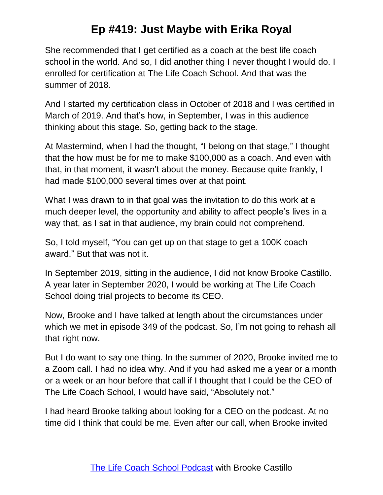She recommended that I get certified as a coach at the best life coach school in the world. And so, I did another thing I never thought I would do. I enrolled for certification at The Life Coach School. And that was the summer of 2018.

And I started my certification class in October of 2018 and I was certified in March of 2019. And that's how, in September, I was in this audience thinking about this stage. So, getting back to the stage.

At Mastermind, when I had the thought, "I belong on that stage," I thought that the how must be for me to make \$100,000 as a coach. And even with that, in that moment, it wasn't about the money. Because quite frankly, I had made \$100,000 several times over at that point.

What I was drawn to in that goal was the invitation to do this work at a much deeper level, the opportunity and ability to affect people's lives in a way that, as I sat in that audience, my brain could not comprehend.

So, I told myself, "You can get up on that stage to get a 100K coach award." But that was not it.

In September 2019, sitting in the audience, I did not know Brooke Castillo. A year later in September 2020, I would be working at The Life Coach School doing trial projects to become its CEO.

Now, Brooke and I have talked at length about the circumstances under which we met in episode 349 of the podcast. So, I'm not going to rehash all that right now.

But I do want to say one thing. In the summer of 2020, Brooke invited me to a Zoom call. I had no idea why. And if you had asked me a year or a month or a week or an hour before that call if I thought that I could be the CEO of The Life Coach School, I would have said, "Absolutely not."

I had heard Brooke talking about looking for a CEO on the podcast. At no time did I think that could be me. Even after our call, when Brooke invited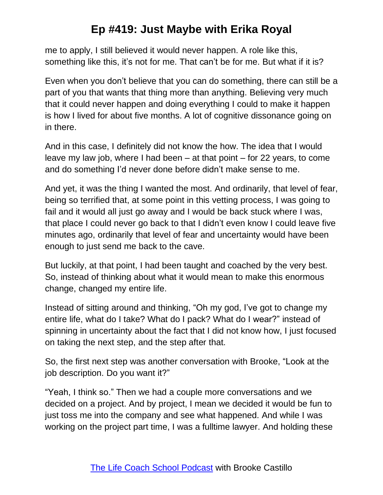me to apply, I still believed it would never happen. A role like this, something like this, it's not for me. That can't be for me. But what if it is?

Even when you don't believe that you can do something, there can still be a part of you that wants that thing more than anything. Believing very much that it could never happen and doing everything I could to make it happen is how I lived for about five months. A lot of cognitive dissonance going on in there.

And in this case, I definitely did not know the how. The idea that I would leave my law job, where I had been – at that point – for 22 years, to come and do something I'd never done before didn't make sense to me.

And yet, it was the thing I wanted the most. And ordinarily, that level of fear, being so terrified that, at some point in this vetting process, I was going to fail and it would all just go away and I would be back stuck where I was, that place I could never go back to that I didn't even know I could leave five minutes ago, ordinarily that level of fear and uncertainty would have been enough to just send me back to the cave.

But luckily, at that point, I had been taught and coached by the very best. So, instead of thinking about what it would mean to make this enormous change, changed my entire life.

Instead of sitting around and thinking, "Oh my god, I've got to change my entire life, what do I take? What do I pack? What do I wear?" instead of spinning in uncertainty about the fact that I did not know how, I just focused on taking the next step, and the step after that.

So, the first next step was another conversation with Brooke, "Look at the job description. Do you want it?"

"Yeah, I think so." Then we had a couple more conversations and we decided on a project. And by project, I mean we decided it would be fun to just toss me into the company and see what happened. And while I was working on the project part time, I was a fulltime lawyer. And holding these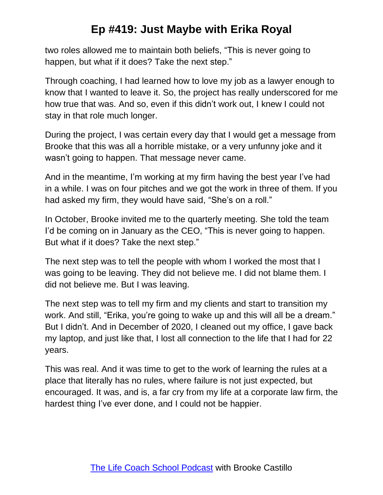two roles allowed me to maintain both beliefs, "This is never going to happen, but what if it does? Take the next step."

Through coaching, I had learned how to love my job as a lawyer enough to know that I wanted to leave it. So, the project has really underscored for me how true that was. And so, even if this didn't work out, I knew I could not stay in that role much longer.

During the project, I was certain every day that I would get a message from Brooke that this was all a horrible mistake, or a very unfunny joke and it wasn't going to happen. That message never came.

And in the meantime, I'm working at my firm having the best year I've had in a while. I was on four pitches and we got the work in three of them. If you had asked my firm, they would have said, "She's on a roll."

In October, Brooke invited me to the quarterly meeting. She told the team I'd be coming on in January as the CEO, "This is never going to happen. But what if it does? Take the next step."

The next step was to tell the people with whom I worked the most that I was going to be leaving. They did not believe me. I did not blame them. I did not believe me. But I was leaving.

The next step was to tell my firm and my clients and start to transition my work. And still, "Erika, you're going to wake up and this will all be a dream." But I didn't. And in December of 2020, I cleaned out my office, I gave back my laptop, and just like that, I lost all connection to the life that I had for 22 years.

This was real. And it was time to get to the work of learning the rules at a place that literally has no rules, where failure is not just expected, but encouraged. It was, and is, a far cry from my life at a corporate law firm, the hardest thing I've ever done, and I could not be happier.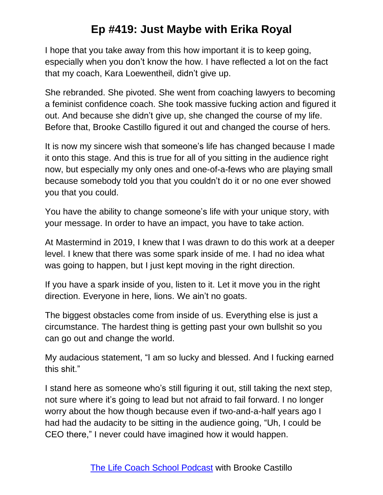I hope that you take away from this how important it is to keep going, especially when you don't know the how. I have reflected a lot on the fact that my coach, Kara Loewentheil, didn't give up.

She rebranded. She pivoted. She went from coaching lawyers to becoming a feminist confidence coach. She took massive fucking action and figured it out. And because she didn't give up, she changed the course of my life. Before that, Brooke Castillo figured it out and changed the course of hers.

It is now my sincere wish that someone's life has changed because I made it onto this stage. And this is true for all of you sitting in the audience right now, but especially my only ones and one-of-a-fews who are playing small because somebody told you that you couldn't do it or no one ever showed you that you could.

You have the ability to change someone's life with your unique story, with your message. In order to have an impact, you have to take action.

At Mastermind in 2019, I knew that I was drawn to do this work at a deeper level. I knew that there was some spark inside of me. I had no idea what was going to happen, but I just kept moving in the right direction.

If you have a spark inside of you, listen to it. Let it move you in the right direction. Everyone in here, lions. We ain't no goats.

The biggest obstacles come from inside of us. Everything else is just a circumstance. The hardest thing is getting past your own bullshit so you can go out and change the world.

My audacious statement, "I am so lucky and blessed. And I fucking earned this shit."

I stand here as someone who's still figuring it out, still taking the next step, not sure where it's going to lead but not afraid to fail forward. I no longer worry about the how though because even if two-and-a-half years ago I had had the audacity to be sitting in the audience going, "Uh, I could be CEO there," I never could have imagined how it would happen.